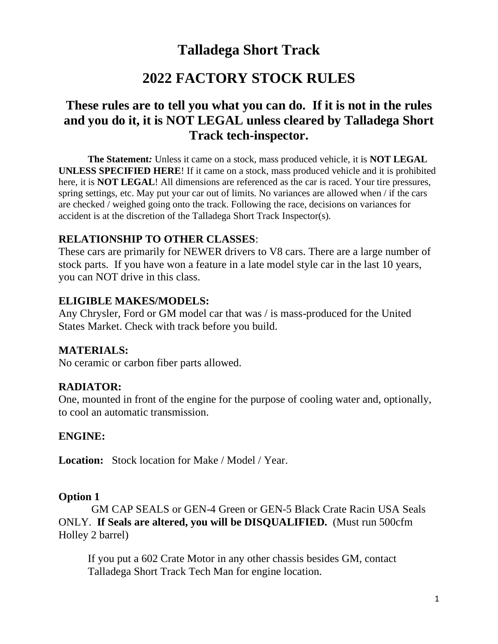# **Talladega Short Track**

# **2022 FACTORY STOCK RULES**

# **These rules are to tell you what you can do. If it is not in the rules and you do it, it is NOT LEGAL unless cleared by Talladega Short Track tech-inspector.**

**The Statement***:* Unless it came on a stock, mass produced vehicle, it is **NOT LEGAL UNLESS SPECIFIED HERE**! If it came on a stock, mass produced vehicle and it is prohibited here, it is **NOT LEGAL**! All dimensions are referenced as the car is raced. Your tire pressures, spring settings, etc. May put your car out of limits. No variances are allowed when / if the cars are checked / weighed going onto the track. Following the race, decisions on variances for accident is at the discretion of the Talladega Short Track Inspector(s).

#### **RELATIONSHIP TO OTHER CLASSES**:

These cars are primarily for NEWER drivers to V8 cars. There are a large number of stock parts. If you have won a feature in a late model style car in the last 10 years, you can NOT drive in this class.

#### **ELIGIBLE MAKES/MODELS:**

Any Chrysler, Ford or GM model car that was / is mass-produced for the United States Market. Check with track before you build.

### **MATERIALS:**

No ceramic or carbon fiber parts allowed.

### **RADIATOR:**

One, mounted in front of the engine for the purpose of cooling water and, optionally, to cool an automatic transmission.

### **ENGINE:**

**Location:** Stock location for Make / Model / Year.

#### **Option 1**

 GM CAP SEALS or GEN-4 Green or GEN-5 Black Crate Racin USA Seals ONLY. **If Seals are altered, you will be DISQUALIFIED.** (Must run 500cfm Holley 2 barrel)

If you put a 602 Crate Motor in any other chassis besides GM, contact Talladega Short Track Tech Man for engine location.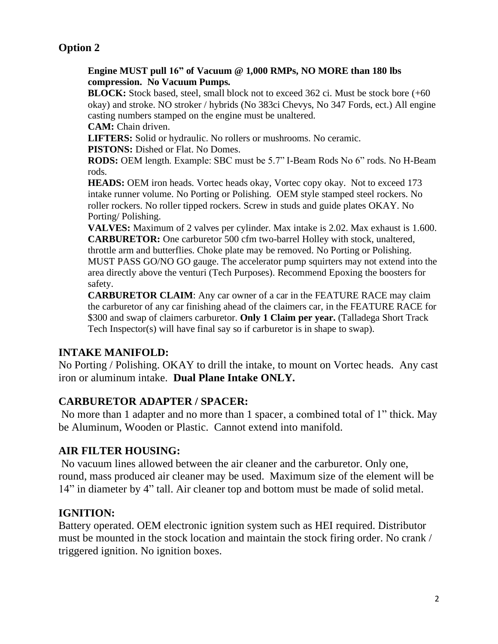## **Option 2**

#### **Engine MUST pull 16" of Vacuum @ 1,000 RMPs, NO MORE than 180 lbs compression. No Vacuum Pumps.**

**BLOCK:** Stock based, steel, small block not to exceed 362 ci. Must be stock bore (+60 okay) and stroke. NO stroker / hybrids (No 383ci Chevys, No 347 Fords, ect.) All engine casting numbers stamped on the engine must be unaltered.

**CAM:** Chain driven.

**LIFTERS:** Solid or hydraulic. No rollers or mushrooms. No ceramic.

**PISTONS:** Dished or Flat. No Domes.

**RODS:** OEM length. Example: SBC must be 5.7" I-Beam Rods No 6" rods. No H-Beam rods.

**HEADS:** OEM iron heads. Vortec heads okay, Vortec copy okay. Not to exceed 173 intake runner volume. No Porting or Polishing. OEM style stamped steel rockers. No roller rockers. No roller tipped rockers. Screw in studs and guide plates OKAY. No Porting/ Polishing.

**VALVES:** Maximum of 2 valves per cylinder. Max intake is 2.02. Max exhaust is 1.600. **CARBURETOR:** One carburetor 500 cfm two-barrel Holley with stock, unaltered, throttle arm and butterflies. Choke plate may be removed. No Porting or Polishing. MUST PASS GO/NO GO gauge. The accelerator pump squirters may not extend into the area directly above the venturi (Tech Purposes). Recommend Epoxing the boosters for safety.

**CARBURETOR CLAIM**: Any car owner of a car in the FEATURE RACE may claim the carburetor of any car finishing ahead of the claimers car, in the FEATURE RACE for \$300 and swap of claimers carburetor. **Only 1 Claim per year.** (Talladega Short Track Tech Inspector(s) will have final say so if carburetor is in shape to swap).

### **INTAKE MANIFOLD:**

No Porting / Polishing. OKAY to drill the intake, to mount on Vortec heads. Any cast iron or aluminum intake. **Dual Plane Intake ONLY.**

### **CARBURETOR ADAPTER / SPACER:**

No more than 1 adapter and no more than 1 spacer, a combined total of 1" thick. May be Aluminum, Wooden or Plastic. Cannot extend into manifold.

#### **AIR FILTER HOUSING:**

No vacuum lines allowed between the air cleaner and the carburetor. Only one, round, mass produced air cleaner may be used. Maximum size of the element will be 14" in diameter by 4" tall. Air cleaner top and bottom must be made of solid metal.

### **IGNITION:**

Battery operated. OEM electronic ignition system such as HEI required. Distributor must be mounted in the stock location and maintain the stock firing order. No crank / triggered ignition. No ignition boxes.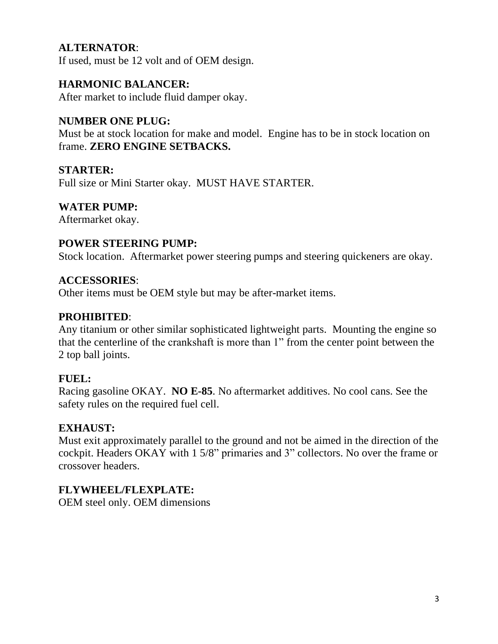## **ALTERNATOR**:

If used, must be 12 volt and of OEM design.

#### **HARMONIC BALANCER:**

After market to include fluid damper okay.

#### **NUMBER ONE PLUG:**

Must be at stock location for make and model. Engine has to be in stock location on frame. **ZERO ENGINE SETBACKS.**

#### **STARTER:**

Full size or Mini Starter okay. MUST HAVE STARTER.

#### **WATER PUMP:**

Aftermarket okay.

#### **POWER STEERING PUMP:**

Stock location. Aftermarket power steering pumps and steering quickeners are okay.

#### **ACCESSORIES**:

Other items must be OEM style but may be after-market items.

#### **PROHIBITED**:

Any titanium or other similar sophisticated lightweight parts. Mounting the engine so that the centerline of the crankshaft is more than 1" from the center point between the 2 top ball joints.

#### **FUEL:**

Racing gasoline OKAY. **NO E-85**. No aftermarket additives. No cool cans. See the safety rules on the required fuel cell.

#### **EXHAUST:**

Must exit approximately parallel to the ground and not be aimed in the direction of the cockpit. Headers OKAY with 1 5/8" primaries and 3" collectors. No over the frame or crossover headers.

### **FLYWHEEL/FLEXPLATE:**

OEM steel only. OEM dimensions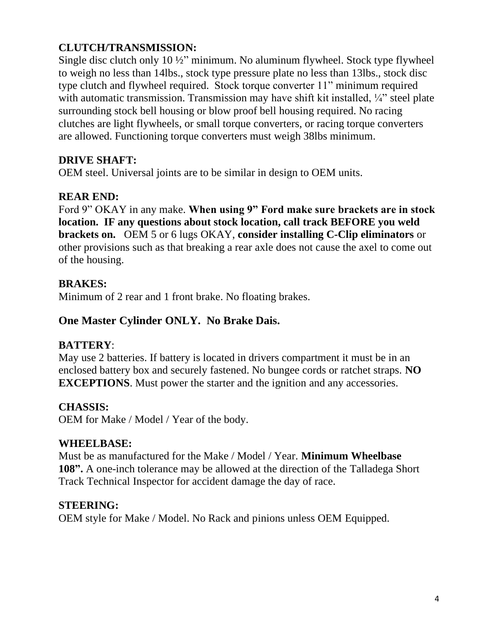## **CLUTCH/TRANSMISSION:**

Single disc clutch only 10 ½" minimum. No aluminum flywheel. Stock type flywheel to weigh no less than 14lbs., stock type pressure plate no less than 13lbs., stock disc type clutch and flywheel required. Stock torque converter 11" minimum required with automatic transmission. Transmission may have shift kit installed, ¼" steel plate surrounding stock bell housing or blow proof bell housing required. No racing clutches are light flywheels, or small torque converters, or racing torque converters are allowed. Functioning torque converters must weigh 38lbs minimum.

### **DRIVE SHAFT:**

OEM steel. Universal joints are to be similar in design to OEM units.

### **REAR END:**

Ford 9" OKAY in any make. **When using 9" Ford make sure brackets are in stock location. IF any questions about stock location, call track BEFORE you weld brackets on.** OEM 5 or 6 lugs OKAY, **consider installing C-Clip eliminators** or other provisions such as that breaking a rear axle does not cause the axel to come out of the housing.

#### **BRAKES:**

Minimum of 2 rear and 1 front brake. No floating brakes.

## **One Master Cylinder ONLY. No Brake Dais.**

### **BATTERY**:

May use 2 batteries. If battery is located in drivers compartment it must be in an enclosed battery box and securely fastened. No bungee cords or ratchet straps. **NO EXCEPTIONS**. Must power the starter and the ignition and any accessories.

### **CHASSIS:**

OEM for Make / Model / Year of the body.

### **WHEELBASE:**

Must be as manufactured for the Make / Model / Year. **Minimum Wheelbase 108".** A one-inch tolerance may be allowed at the direction of the Talladega Short Track Technical Inspector for accident damage the day of race.

### **STEERING:**

OEM style for Make / Model. No Rack and pinions unless OEM Equipped.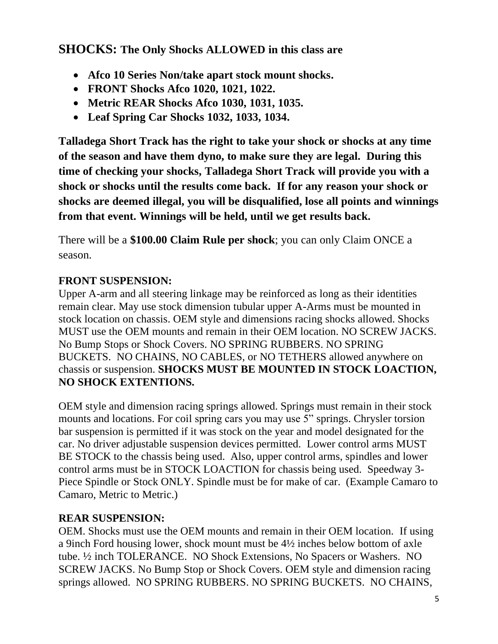**SHOCKS: The Only Shocks ALLOWED in this class are**

- **Afco 10 Series Non/take apart stock mount shocks.**
- **FRONT Shocks Afco 1020, 1021, 1022.**
- **Metric REAR Shocks Afco 1030, 1031, 1035.**
- **Leaf Spring Car Shocks 1032, 1033, 1034.**

**Talladega Short Track has the right to take your shock or shocks at any time of the season and have them dyno, to make sure they are legal. During this time of checking your shocks, Talladega Short Track will provide you with a shock or shocks until the results come back. If for any reason your shock or shocks are deemed illegal, you will be disqualified, lose all points and winnings from that event. Winnings will be held, until we get results back.**

There will be a **\$100.00 Claim Rule per shock**; you can only Claim ONCE a season.

# **FRONT SUSPENSION:**

Upper A-arm and all steering linkage may be reinforced as long as their identities remain clear. May use stock dimension tubular upper A-Arms must be mounted in stock location on chassis. OEM style and dimensions racing shocks allowed. Shocks MUST use the OEM mounts and remain in their OEM location. NO SCREW JACKS. No Bump Stops or Shock Covers. NO SPRING RUBBERS. NO SPRING BUCKETS. NO CHAINS, NO CABLES, or NO TETHERS allowed anywhere on chassis or suspension. **SHOCKS MUST BE MOUNTED IN STOCK LOACTION, NO SHOCK EXTENTIONS.**

OEM style and dimension racing springs allowed. Springs must remain in their stock mounts and locations. For coil spring cars you may use 5" springs. Chrysler torsion bar suspension is permitted if it was stock on the year and model designated for the car. No driver adjustable suspension devices permitted. Lower control arms MUST BE STOCK to the chassis being used. Also, upper control arms, spindles and lower control arms must be in STOCK LOACTION for chassis being used. Speedway 3- Piece Spindle or Stock ONLY. Spindle must be for make of car. (Example Camaro to Camaro, Metric to Metric.)

# **REAR SUSPENSION:**

OEM. Shocks must use the OEM mounts and remain in their OEM location. If using a 9inch Ford housing lower, shock mount must be 4½ inches below bottom of axle tube. ½ inch TOLERANCE. NO Shock Extensions, No Spacers or Washers. NO SCREW JACKS. No Bump Stop or Shock Covers. OEM style and dimension racing springs allowed. NO SPRING RUBBERS. NO SPRING BUCKETS. NO CHAINS,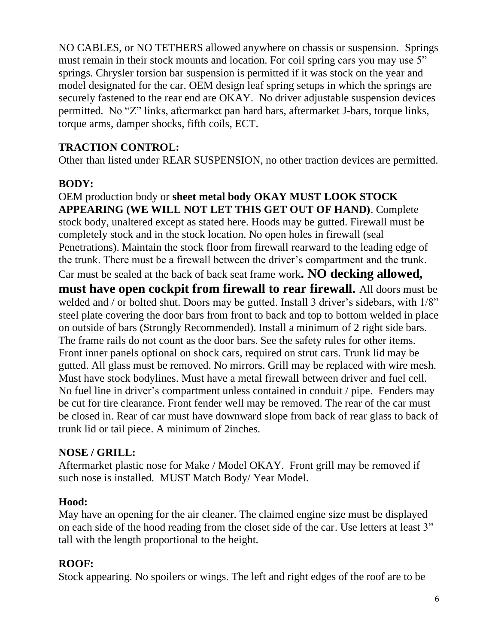NO CABLES, or NO TETHERS allowed anywhere on chassis or suspension. Springs must remain in their stock mounts and location. For coil spring cars you may use 5" springs. Chrysler torsion bar suspension is permitted if it was stock on the year and model designated for the car. OEM design leaf spring setups in which the springs are securely fastened to the rear end are OKAY. No driver adjustable suspension devices permitted. No "Z" links, aftermarket pan hard bars, aftermarket J-bars, torque links, torque arms, damper shocks, fifth coils, ECT.

## **TRACTION CONTROL:**

Other than listed under REAR SUSPENSION, no other traction devices are permitted.

### **BODY:**

OEM production body or **sheet metal body OKAY MUST LOOK STOCK APPEARING (WE WILL NOT LET THIS GET OUT OF HAND)**. Complete stock body, unaltered except as stated here. Hoods may be gutted. Firewall must be completely stock and in the stock location. No open holes in firewall (seal Penetrations). Maintain the stock floor from firewall rearward to the leading edge of the trunk. There must be a firewall between the driver's compartment and the trunk. Car must be sealed at the back of back seat frame work**. NO decking allowed, must have open cockpit from firewall to rear firewall.** All doors must be welded and / or bolted shut. Doors may be gutted. Install 3 driver's sidebars, with  $1/8$ " steel plate covering the door bars from front to back and top to bottom welded in place on outside of bars (Strongly Recommended). Install a minimum of 2 right side bars. The frame rails do not count as the door bars. See the safety rules for other items. Front inner panels optional on shock cars, required on strut cars. Trunk lid may be gutted. All glass must be removed. No mirrors. Grill may be replaced with wire mesh. Must have stock bodylines. Must have a metal firewall between driver and fuel cell. No fuel line in driver's compartment unless contained in conduit / pipe. Fenders may be cut for tire clearance. Front fender well may be removed. The rear of the car must be closed in. Rear of car must have downward slope from back of rear glass to back of trunk lid or tail piece. A minimum of 2inches.

### **NOSE / GRILL:**

Aftermarket plastic nose for Make / Model OKAY. Front grill may be removed if such nose is installed. MUST Match Body/ Year Model.

### **Hood:**

May have an opening for the air cleaner. The claimed engine size must be displayed on each side of the hood reading from the closet side of the car. Use letters at least 3" tall with the length proportional to the height.

# **ROOF:**

Stock appearing. No spoilers or wings. The left and right edges of the roof are to be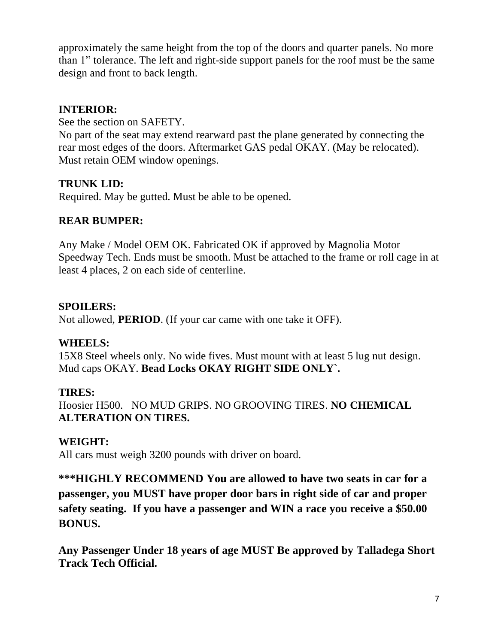approximately the same height from the top of the doors and quarter panels. No more than 1" tolerance. The left and right-side support panels for the roof must be the same design and front to back length.

## **INTERIOR:**

See the section on SAFETY.

No part of the seat may extend rearward past the plane generated by connecting the rear most edges of the doors. Aftermarket GAS pedal OKAY. (May be relocated). Must retain OEM window openings.

# **TRUNK LID:**

Required. May be gutted. Must be able to be opened.

## **REAR BUMPER:**

Any Make / Model OEM OK. Fabricated OK if approved by Magnolia Motor Speedway Tech. Ends must be smooth. Must be attached to the frame or roll cage in at least 4 places, 2 on each side of centerline.

## **SPOILERS:**

Not allowed, **PERIOD**. (If your car came with one take it OFF).

### **WHEELS:**

15X8 Steel wheels only. No wide fives. Must mount with at least 5 lug nut design. Mud caps OKAY. **Bead Locks OKAY RIGHT SIDE ONLY`.**

# **TIRES:**

Hoosier H500. NO MUD GRIPS. NO GROOVING TIRES. **NO CHEMICAL ALTERATION ON TIRES.**

# **WEIGHT:**

All cars must weigh 3200 pounds with driver on board.

**\*\*\*HIGHLY RECOMMEND You are allowed to have two seats in car for a passenger, you MUST have proper door bars in right side of car and proper safety seating. If you have a passenger and WIN a race you receive a \$50.00 BONUS.** 

**Any Passenger Under 18 years of age MUST Be approved by Talladega Short Track Tech Official.**